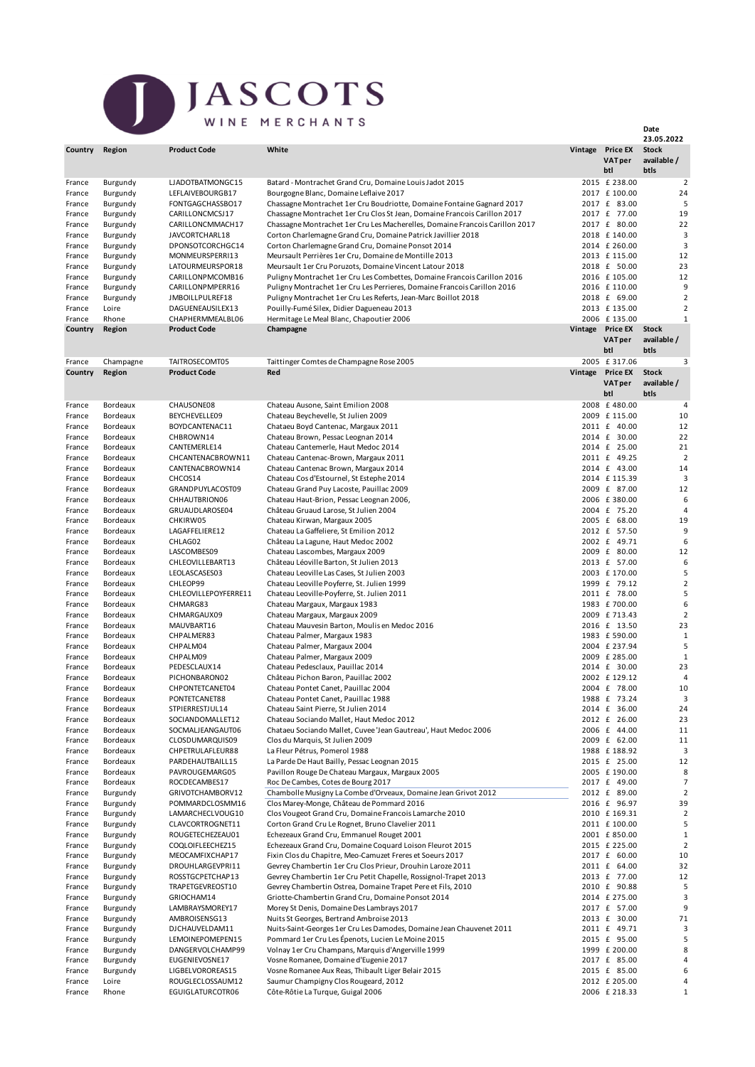## JASCOTS WINE MERCHANTS

|                  |                      |                                      |                                                                                                                                     |         |                                         | 23.05.2022                          |
|------------------|----------------------|--------------------------------------|-------------------------------------------------------------------------------------------------------------------------------------|---------|-----------------------------------------|-------------------------------------|
| Country          | Region               | <b>Product Code</b>                  | White                                                                                                                               | Vintage | <b>Price EX</b><br><b>VATper</b><br>btl | <b>Stock</b><br>available /<br>btls |
| France           |                      | LJADOTBATMONGC15                     | Batard - Montrachet Grand Cru, Domaine Louis Jadot 2015                                                                             |         | 2015 £ 238.00                           | $\overline{2}$                      |
| France           | Burgundy<br>Burgundy | LEFLAIVEBOURGB17                     | Bourgogne Blanc, Domaine Leflaive 2017                                                                                              |         | 2017 £ 100.00                           | 24                                  |
| France           | Burgundy             | FONTGAGCHASSBO17                     | Chassagne Montrachet 1er Cru Boudriotte, Domaine Fontaine Gagnard 2017                                                              |         | 2017 £ 83.00                            | 5                                   |
| France           | Burgundy             | CARILLONCMCSJ17                      | Chassagne Montrachet 1er Cru Clos St Jean, Domaine Francois Carillon 2017                                                           |         | 2017 £ 77.00                            | 19                                  |
| France           | Burgundy             | CARILLONCMMACH17                     | Chassagne Montrachet 1er Cru Les Macherelles, Domaine Francois Carillon 2017                                                        |         | 2017 £ 80.00                            | 22                                  |
| France           | Burgundy             | JAVCORTCHARL18                       | Corton Charlemagne Grand Cru, Domaine Patrick Javillier 2018                                                                        |         | 2018 £ 140.00                           | 3                                   |
| France           | Burgundy             | DPONSOTCORCHGC14                     | Corton Charlemagne Grand Cru, Domaine Ponsot 2014                                                                                   |         | 2014 £ 260.00                           | 3                                   |
| France           | Burgundy             | MONMEURSPERRI13                      | Meursault Perrières 1er Cru, Domaine de Montille 2013                                                                               |         | 2013 £ 115.00                           | 12<br>23                            |
| France<br>France | Burgundy<br>Burgundy | LATOURMEURSPOR18<br>CARILLONPMCOMB16 | Meursault 1er Cru Poruzots, Domaine Vincent Latour 2018<br>Puligny Montrachet 1er Cru Les Combettes, Domaine Francois Carillon 2016 |         | 2018 £ 50.00<br>2016 £ 105.00           | 12                                  |
| France           | Burgundy             | CARILLONPMPERR16                     | Puligny Montrachet 1er Cru Les Perrieres, Domaine Francois Carillon 2016                                                            |         | 2016 £ 110.00                           | g                                   |
| France           | Burgundy             | JMBOILLPULREF18                      | Puligny Montrachet 1er Cru Les Referts, Jean-Marc Boillot 2018                                                                      |         | 2018 £ 69.00                            | $\overline{\mathbf{c}}$             |
| France           | Loire                | DAGUENEAUSILEX13                     | Pouilly-Fumé Silex, Didier Dagueneau 2013                                                                                           |         | 2013 £ 135.00                           | $\overline{\mathbf{c}}$             |
| France           | Rhone                | CHAPHERMMEALBL06                     | Hermitage Le Meal Blanc, Chapoutier 2006                                                                                            |         | 2006 £135.00                            | $\mathbf{1}$                        |
| Country          | Region               | <b>Product Code</b>                  | Champagne                                                                                                                           |         | Vintage Price EX                        | <b>Stock</b>                        |
|                  |                      |                                      |                                                                                                                                     |         | <b>VATper</b><br>btl                    | available /<br>btls                 |
| France           | Champagne            | TAITROSECOMT05                       | Taittinger Comtes de Champagne Rose 2005                                                                                            |         | 2005 £ 317.06                           | 3                                   |
| Country          | Region               | <b>Product Code</b>                  | Red                                                                                                                                 | Vintage | <b>Price EX</b><br><b>VATper</b><br>btl | <b>Stock</b><br>available /<br>btls |
| France           | Bordeaux             | CHAUSONE08                           | Chateau Ausone, Saint Emilion 2008                                                                                                  |         | 2008 £480.00                            | 4                                   |
| France           | Bordeaux             | BEYCHEVELLE09                        | Chateau Beychevelle, St Julien 2009                                                                                                 |         | 2009 £ 115.00                           | 10                                  |
| France           | Bordeaux             | BOYDCANTENAC11                       | Chataeu Boyd Cantenac, Margaux 2011                                                                                                 |         | 2011 £ 40.00                            | 12                                  |
| France           | Bordeaux             | CHBROWN14                            | Chateau Brown, Pessac Leognan 2014                                                                                                  |         | 2014 £ 30.00                            | 22                                  |
| France           | Bordeaux             | CANTEMERLE14                         | Chateau Cantemerle, Haut Medoc 2014                                                                                                 |         | 2014 £ 25.00                            | 21                                  |
| France<br>France | Bordeaux<br>Bordeaux | CHCANTENACBROWN11<br>CANTENACBROWN14 | Chateau Cantenac-Brown, Margaux 2011<br>Chateau Cantenac Brown, Margaux 2014                                                        |         | 2011 £ 49.25<br>2014 £ 43.00            | 2<br>14                             |
| France           | Bordeaux             | CHCOS14                              | Chateau Cos d'Estournel, St Estephe 2014                                                                                            |         | 2014 £ 115.39                           | 3                                   |
| France           | Bordeaux             | GRANDPUYLACOST09                     | Chateau Grand Puy Lacoste, Pauillac 2009                                                                                            |         | 2009 £ 87.00                            | 12                                  |
| France           | Bordeaux             | CHHAUTBRION06                        | Chateau Haut-Brion, Pessac Leognan 2006,                                                                                            |         | 2006 £380.00                            | 6                                   |
| France           | Bordeaux             | GRUAUDLAROSE04                       | Château Gruaud Larose, St Julien 2004                                                                                               |         | 2004 £ 75.20                            | 4                                   |
| France           | Bordeaux             | CHKIRW05                             | Chateau Kirwan, Margaux 2005                                                                                                        |         | 2005 £ 68.00                            | 19                                  |
| France           | Bordeaux             | LAGAFFELIERE12                       | Chateau La Gaffeliere, St Emilion 2012                                                                                              |         | 2012 £ 57.50                            | g                                   |
| France           | Bordeaux             | CHLAG02                              | Château La Lagune, Haut Medoc 2002                                                                                                  |         | 2002 £ 49.71                            | 6                                   |
| France           | Bordeaux             | LASCOMBES09                          | Chateau Lascombes, Margaux 2009                                                                                                     |         | 2009 £ 80.00                            | 12                                  |
| France<br>France | Bordeaux<br>Bordeaux | CHLEOVILLEBART13<br>LEOLASCASES03    | Château Léoville Barton, St Julien 2013<br>Chateau Leoville Las Cases, St Julien 2003                                               |         | 2013 £ 57.00<br>2003 £ 170.00           | 6<br>5                              |
| France           | Bordeaux             | CHLEOP99                             | Chateau Leoville Poyferre, St. Julien 1999                                                                                          |         | 1999 £ 79.12                            | $\overline{a}$                      |
| France           | Bordeaux             | CHLEOVILLEPOYFERRE11                 | Chateau Leoville-Poyferre, St. Julien 2011                                                                                          |         | 2011 £ 78.00                            | 5                                   |
| France           | Bordeaux             | CHMARG83                             | Chateau Margaux, Margaux 1983                                                                                                       |         | 1983 £ 700.00                           | 6                                   |
| France           | Bordeaux             | CHMARGAUX09                          | Chateau Margaux, Margaux 2009                                                                                                       |         | 2009 £ 713.43                           | $\overline{2}$                      |
| France           | Bordeaux             | MAUVBART16                           | Chateau Mauvesin Barton, Moulis en Medoc 2016                                                                                       |         | 2016 £ 13.50                            | 23                                  |
| France           | Bordeaux             | CHPALMER83                           | Chateau Palmer, Margaux 1983                                                                                                        |         | 1983 £ 590.00                           | $\mathbf{1}$                        |
| France           | Bordeaux             | CHPALM04                             | Chateau Palmer, Margaux 2004                                                                                                        |         | 2004 £ 237.94                           | 5                                   |
| France<br>France | Bordeaux<br>Bordeaux | CHPALM09<br>PEDESCLAUX14             | Chateau Palmer, Margaux 2009<br>Chateau Pedesclaux, Pauillac 2014                                                                   |         | 2009 £ 285.00<br>2014 £ 30.00           | 1<br>23                             |
| France           | Bordeaux             | PICHONBARON02                        | Château Pichon Baron, Pauillac 2002                                                                                                 |         | 2002 £ 129.12                           |                                     |
| France           | Bordeaux             | CHPONTETCANET04                      | Chateau Pontet Canet, Pauillac 2004                                                                                                 |         | 2004 £ 78.00                            | 10                                  |
| France           | Bordeaux             | PONTETCANET88                        | Chateau Pontet Canet, Pauillac 1988                                                                                                 |         | 1988 £ 73.24                            | 3                                   |
| France           | Bordeaux             | STPIERRESTJUL14                      | Chateau Saint Pierre, St Julien 2014                                                                                                |         | 2014 £ 36.00                            | 24                                  |
| France           | Bordeaux             | SOCIANDOMALLET12                     | Chateau Sociando Mallet, Haut Medoc 2012                                                                                            |         | 2012 £ 26.00                            | 23                                  |
| France           | Bordeaux             | SOCMALJEANGAUT06                     | Chataeu Sociando Mallet, Cuvee 'Jean Gautreau', Haut Medoc 2006                                                                     |         | 2006 £ 44.00                            | 11                                  |
| France           | Bordeaux             | CLOSDUMARQUIS09                      | Clos du Marquis, St Julien 2009                                                                                                     |         | 2009 £ 62.00                            | 11                                  |
| France           | Bordeaux             | CHPETRULAFLEUR88                     | La Fleur Pétrus, Pomerol 1988                                                                                                       |         | 1988 £188.92                            | 3                                   |
| France<br>France | Bordeaux<br>Bordeaux | PARDEHAUTBAILL15<br>PAVROUGEMARG05   | La Parde De Haut Bailly, Pessac Leognan 2015<br>Pavillon Rouge De Chateau Margaux, Margaux 2005                                     |         | 2015 £ 25.00<br>2005 £ 190.00           | 12<br>8                             |
| France           | Bordeaux             | ROCDECAMBES17                        | Roc De Cambes, Cotes de Bourg 2017                                                                                                  |         | 2017 £ 49.00                            | 7                                   |
| France           | Burgundy             | GRIVOTCHAMBORV12                     | Chambolle Musigny La Combe d'Orveaux, Domaine Jean Grivot 2012                                                                      |         | 2012 £ 89.00                            | 2                                   |
| France           | Burgundy             | POMMARDCLOSMM16                      | Clos Marey-Monge, Château de Pommard 2016                                                                                           |         | 2016 £ 96.97                            | 39                                  |
| France           | Burgundy             | LAMARCHECLVOUG10                     | Clos Vougeot Grand Cru, Domaine Francois Lamarche 2010                                                                              |         | 2010 £ 169.31                           |                                     |
| France           | Burgundy             | CLAVCORTROGNET11                     | Corton Grand Cru Le Rognet, Bruno Clavelier 2011                                                                                    |         | 2011 £ 100.00                           | 5                                   |
| France           | Burgundy             | ROUGETECHEZEAU01                     | Echezeaux Grand Cru, Emmanuel Rouget 2001                                                                                           |         | 2001 £850.00                            | 1                                   |
| France<br>France | Burgundy<br>Burgundy | COQLOIFLEECHEZ15<br>MEOCAMFIXCHAP17  | Echezeaux Grand Cru, Domaine Coquard Loison Fleurot 2015<br>Fixin Clos du Chapitre, Meo-Camuzet Freres et Soeurs 2017               |         | 2015 £ 225.00<br>2017 £ 60.00           | 2<br>10                             |
| France           | Burgundy             | DROUHLARGEVPRI11                     | Gevrey Chambertin 1er Cru Clos Prieur, Drouhin Laroze 2011                                                                          |         | 2011 £ 64.00                            | 32                                  |
| France           | Burgundy             | ROSSTGCPETCHAP13                     | Gevrey Chambertin 1er Cru Petit Chapelle, Rossignol-Trapet 2013                                                                     |         | 2013 £ 77.00                            | 12                                  |
| France           | Burgundy             | TRAPETGEVREOST10                     | Gevrey Chambertin Ostrea, Domaine Trapet Pere et Fils, 2010                                                                         |         | 2010 £ 90.88                            |                                     |
| France           | Burgundy             | GRIOCHAM14                           | Griotte-Chambertin Grand Cru, Domaine Ponsot 2014                                                                                   |         | 2014 £ 275.00                           | 3                                   |
| France           | Burgundy             | LAMBRAYSMOREY17                      | Morey St Denis, Domaine Des Lambrays 2017                                                                                           |         | 2017 £ 57.00                            | g                                   |
| France           | Burgundy             | AMBROISENSG13                        | Nuits St Georges, Bertrand Ambroise 2013                                                                                            |         | 2013 £ 30.00                            | 71                                  |
| France           | Burgundy             | DJCHAUVELDAM11                       | Nuits-Saint-Georges 1er Cru Les Damodes, Domaine Jean Chauvenet 2011                                                                |         | 2011 £ 49.71                            |                                     |
| France           | Burgundy             | LEMOINEPOMEPEN15                     | Pommard 1er Cru Les Épenots, Lucien Le Moine 2015                                                                                   |         | 2015 £ 95.00                            | 5                                   |
| France           | Burgundy             | DANGERVOLCHAMP99<br>EUGENIEVOSNE17   | Volnay 1er Cru Champans, Marquis d'Angerville 1999<br>Vosne Romanee, Domaine d'Eugenie 2017                                         |         | 1999 £ 200.00<br>2017 £ 85.00           |                                     |
| France<br>France | Burgundy<br>Burgundy | LIGBELVOROREAS15                     | Vosne Romanee Aux Reas, Thibault Liger Belair 2015                                                                                  |         | 2015 £ 85.00                            |                                     |
| France           | Loire                | ROUGLECLOSSAUM12                     | Saumur Champigny Clos Rougeard, 2012                                                                                                |         | 2012 £ 205.00                           |                                     |
| France           | Rhone                | EGUIGLATURCOTR06                     | Côte-Rôtie La Turque, Guigal 2006                                                                                                   |         | 2006 £ 218.33                           | $\mathbf{1}$                        |
|                  |                      |                                      |                                                                                                                                     |         |                                         |                                     |

Date